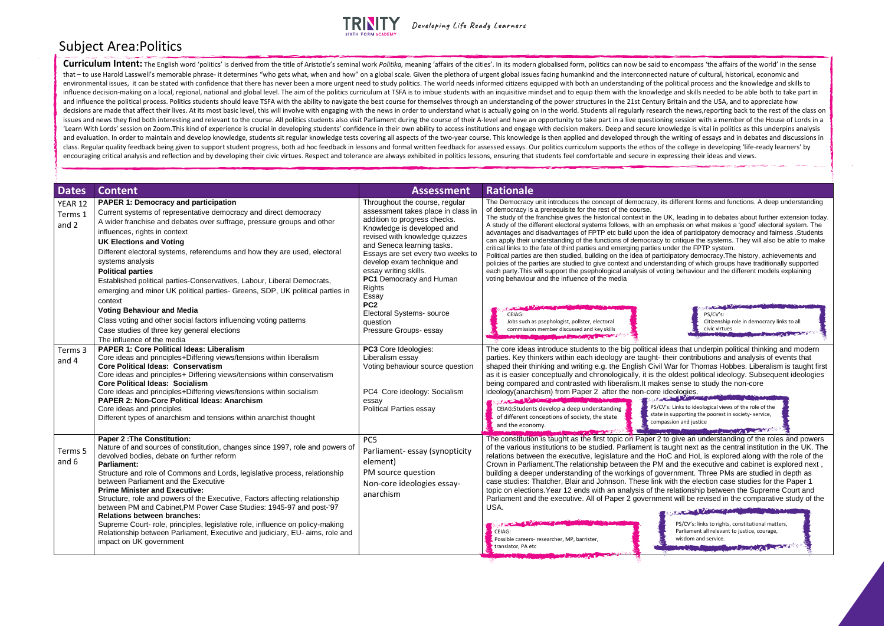

Developing Life Ready Learners

**CONTRACTOR** PS/CV's: Citizenship role in democracy links to all civic virtues

as that underpin political thinking and modern eir contributions and analysis of events that Var for Thomas Hobbes. Liberalism is taught first oldest political ideology. Subsequent ideologies sense to study the non-core ieologies.<br><sup>Bapt</sup>er the non-core is

: Links to ideological views of the role of the supporting the poorest in society- service, sion and justice

**START AND IN** 

The constitution is the first topic on Paper 2 to give an understanding of the roles and powers ught next as the central institution in the UK. The C and HoL is explored along with the role of the and the executive and cabinet is explored next, ernment. Three PMs are studied in depth as ith the election case studies for the Paper 1 elationship between the Supreme Court and It will be revised in the comparative study of the

| <b>Dates</b>                | <b>Content</b>                                                                                                                                                                                                                                                                                                                                                                                                                                                                                                                                                                                                                                                                                                                                          | <b>Assessment</b>                                                                                                                                                                                                                                                                                                                                                                                                                         | <b>Rationale</b>                                                                                                                                                                                                                                                                                                                                                                                                                                                                                                                                                                                                                                                                                                                                                                                                                                        |
|-----------------------------|---------------------------------------------------------------------------------------------------------------------------------------------------------------------------------------------------------------------------------------------------------------------------------------------------------------------------------------------------------------------------------------------------------------------------------------------------------------------------------------------------------------------------------------------------------------------------------------------------------------------------------------------------------------------------------------------------------------------------------------------------------|-------------------------------------------------------------------------------------------------------------------------------------------------------------------------------------------------------------------------------------------------------------------------------------------------------------------------------------------------------------------------------------------------------------------------------------------|---------------------------------------------------------------------------------------------------------------------------------------------------------------------------------------------------------------------------------------------------------------------------------------------------------------------------------------------------------------------------------------------------------------------------------------------------------------------------------------------------------------------------------------------------------------------------------------------------------------------------------------------------------------------------------------------------------------------------------------------------------------------------------------------------------------------------------------------------------|
| YEAR 12<br>Terms 1<br>and 2 | <b>PAPER 1: Democracy and participation</b><br>Current systems of representative democracy and direct democracy<br>A wider franchise and debates over suffrage, pressure groups and other<br>influences, rights in context<br><b>UK Elections and Voting</b><br>Different electoral systems, referendums and how they are used, electoral<br>systems analysis<br><b>Political parties</b><br>Established political parties-Conservatives, Labour, Liberal Democrats,<br>emerging and minor UK political parties- Greens, SDP, UK political parties in<br>context<br><b>Voting Behaviour and Media</b><br>Class voting and other social factors influencing voting patterns<br>Case studies of three key general elections<br>The influence of the media | Throughout the course, regular<br>assessment takes place in class in<br>addition to progress checks.<br>Knowledge is developed and<br>revised with knowledge quizzes<br>and Seneca learning tasks.<br>Essays are set every two weeks to<br>develop exam technique and<br>essay writing skills.<br>PC1 Democracy and Human<br><b>Rights</b><br>Essay<br>PC <sub>2</sub><br>Electoral Systems- source<br>question<br>Pressure Groups- essay | The Democracy unit introduces the concept of democracy, its<br>of democracy is a prerequisite for the rest of the course.<br>The study of the franchise gives the historical context in the UI<br>A study of the different electoral systems follows, with an empl<br>advantages and disadvantages of FPTP etc build upon the ide<br>can apply their understanding of the functions of democracy to<br>critical links to the fate of third parties and emerging parties un<br>Political parties are then studied, building on the idea of partici<br>policies of the parties are studied to give context and understa<br>each party. This will support the psephological analysis of votin<br>voting behaviour and the influence of the media<br>CEIAG:<br>Jobs such as psephologist, pollster, electoral<br>commission member discussed and key skills |
| Terms 3<br>and 4            | <b>PAPER 1: Core Political Ideas: Liberalism</b><br>Core ideas and principles+Differing views/tensions within liberalism<br><b>Core Political Ideas: Conservatism</b><br>Core ideas and principles+ Differing views/tensions within conservatism<br><b>Core Political Ideas: Socialism</b><br>Core ideas and principles+Differing views/tensions within socialism<br>PAPER 2: Non-Core Political Ideas: Anarchism<br>Core ideas and principles<br>Different types of anarchism and tensions within anarchist thought                                                                                                                                                                                                                                    | PC3 Core Ideologies:<br>Liberalism essay<br>Voting behaviour source question<br>PC4 Core ideology: Socialism<br>essay<br><b>Political Parties essay</b>                                                                                                                                                                                                                                                                                   | The core ideas introduce students to the big political ide<br>parties. Key thinkers within each ideology are taught-the<br>shaped their thinking and writing e.g. the English Civil W<br>as it is easier conceptually and chronologically, it is the<br>being compared and contrasted with liberalism. It makes<br>ideology(anarchism) from Paper 2 after the non-core id<br>The Committee of the Committee of the Committee of the Committee of the Committee of the Committee of the Committee of the Committee of the Committee of the Committee of the Committee of the Committee of the Committee of t<br>فكالبلائك<br>PS/CV's<br>CEIAG: Students develop a deep understanding<br>state in<br>of different conceptions of society, the state<br>compas<br>and the economy.                                                                         |
| Terms 5<br>and 6            | <b>Paper 2: The Constitution:</b><br>Nature of and sources of constitution, changes since 1997, role and powers of<br>devolved bodies, debate on further reform<br><b>Parliament:</b><br>Structure and role of Commons and Lords, legislative process, relationship<br>between Parliament and the Executive<br><b>Prime Minister and Executive:</b><br>Structure, role and powers of the Executive, Factors affecting relationship<br>between PM and Cabinet, PM Power Case Studies: 1945-97 and post-'97<br><b>Relations between branches:</b><br>Supreme Court- role, principles, legislative role, influence on policy-making<br>Relationship between Parliament, Executive and judiciary, EU- aims, role and<br>impact on UK government             | PC <sub>5</sub><br>Parliament-essay (synopticity<br>element)<br>PM source question<br>Non-core ideologies essay-<br>anarchism                                                                                                                                                                                                                                                                                                             | The constitution is taught as the first topic on Paper 2 to<br>of the various institutions to be studied. Parliament is tar<br>relations between the executive, legislature and the HoC<br>Crown in Parliament. The relationship between the PM a<br>building a deeper understanding of the workings of gove<br>case studies: Thatcher, Blair and Johnson. These link w<br>topic on elections. Year 12 ends with an analysis of the r<br>Parliament and the executive. All of Paper 2 governmen<br>USA.<br>CEIAG:<br>Possible careers- researcher, MP, barrister,<br>translator, PA etc                                                                                                                                                                                                                                                                 |

## different forms and functions. A deep understanding

K. leading in to debates about further extension today. hasis on what makes a 'good' electoral system. The a of participatory democracy and fairness .Students critique the systems. They will also be able to make der the FPTP system.

ipatory democracy. The history, achievements and inding of which groups have traditionally supported a behaviour and the different models explaining

## Subject Area:Politics

**Curriculum Intent:** The English word 'politics' is derived from the title of Aristotle's seminal work Politika, meaning 'affairs of the cities'. In its modern globalised form, politics can now be said to encompass 'the af that - to use Harold Lasswell's memorable phrase- it determines "who gets what, when and how" on a global scale. Given the plethora of urgent global issues facing humankind and the interconnected nature of cultural, histor environmental issues, it can be stated with confidence that there has never been a more urgent need to study politics. The world needs informed citizens equipped with both an understanding of the political process and the influence decision-making on a local, regional, national and global level. The aim of the politics curriculum at TSFA is to imbue students with an inquisitive mindset and to equip them with the knowledge and skills needed and influence the political process. Politics students should leave TSFA with the ability to navigate the best course for themselves through an understanding of the power structures in the 21st Century Britain and the USA, decisions are made that affect their lives. At its most basic level, this will involve with engaging with the news in order to understand what is actually going on in the world. Students all regularly research the news, re issues and news they find both interesting and relevant to the course. All politics students also visit Parliament during the course of their A-level and have an opportunity to take part in a live questioning session with 'Learn With Lords' session on Zoom. This kind of experience is crucial in developing students' confidence in their own ability to access institutions and engage with decision makers. Deep and secure knowledge is vital in p and evaluation. In order to maintain and develop knowledge, students sit regular knowledge tests covering all aspects of the two-year course. This knowledge is then applied and developed through the writing of essays and i class. Regular quality feedback being given to support student progress, both ad hoc feedback in lessons and formal written feedback for assessed essays. Our politics curriculum supports the ethos of the college in develop encouraging critical analysis and reflection and by developing their civic virtues. Respect and tolerance are always exhibited in politics lessons, ensuring that students feel comfortable and secure in expressing their ide

> PS/CV's: links to rights, constitutional matters, Parliament all relevant to justice, courage, wisdom and service.

Borne Handy Mary Charles Company of the Company

**CONTRACTOR**